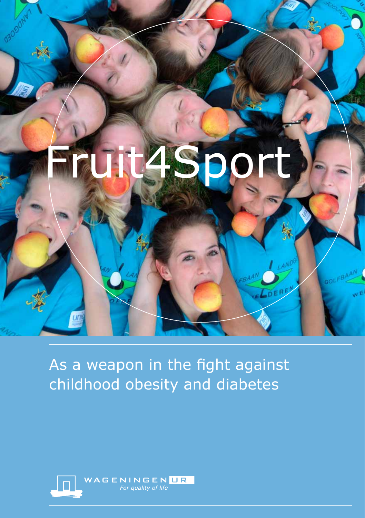

## As a weapon in the fight against childhood obesity and diabetes